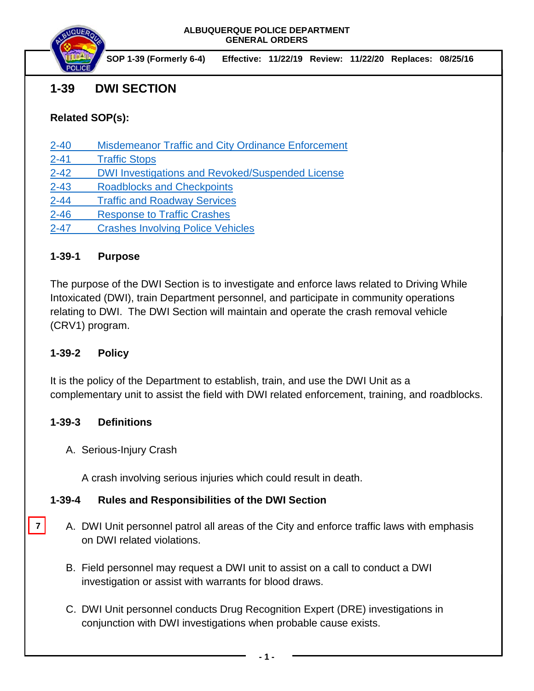

**SOP 1-39 (Formerly 6-4) Effective: 11/22/19 Review: 11/22/20 Replaces: 08/25/16**

# **1-39 DWI SECTION**

## **Related SOP(s):**

- [2-40 Misdemeanor Traffic and City Ordinance Enforcement](https://powerdms.com/link/IDS/document/?id=101)
- [2-41 Traffic Stops](https://powerdms.com/link/IDS/document/?id=130)
- [2-42 DWI Investigations and Revoked/Suspended License](https://powerdms.com/link/IDS/document/?id=532)
- [2-43 Roadblocks and Checkpoints](https://powerdms.com/link/IDS/document/?id=1854663)
- [2-44 Traffic and Roadway Services](https://powerdms.com/link/IDS/document/?id=132)
- [2-46 Response to Traffic Crashes](https://powerdms.com/link/IDS/document/?id=1697014)
- [2-47 Crashes Involving Police Vehicles](https://powerdms.com/link/IDS/document/?id=42)

### **1-39-1 Purpose**

The purpose of the DWI Section is to investigate and enforce laws related to Driving While Intoxicated (DWI), train Department personnel, and participate in community operations relating to DWI. The DWI Section will maintain and operate the crash removal vehicle (CRV1) program.

#### **1-39-2 Policy**

It is the policy of the Department to establish, train, and use the DWI Unit as a complementary unit to assist the field with DWI related enforcement, training, and roadblocks.

#### **1-39-3 Definitions**

A. Serious-Injury Crash

A crash involving serious injuries which could result in death.

## **1-39-4 Rules and Responsibilities of the DWI Section**

- A. DWI Unit personnel patrol all areas of the City and enforce traffic laws with emphasis on DWI related violations. **7**
	- B. Field personnel may request a DWI unit to assist on a call to conduct a DWI investigation or assist with warrants for blood draws.
	- C. DWI Unit personnel conducts Drug Recognition Expert (DRE) investigations in conjunction with DWI investigations when probable cause exists.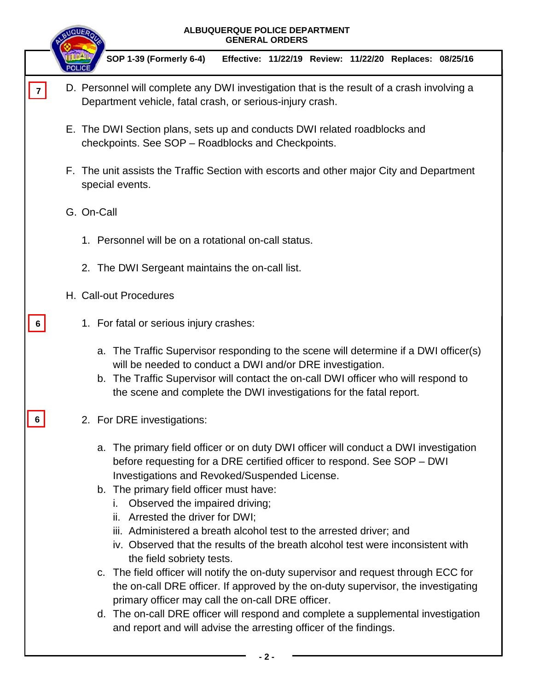|                |                                                                                                                                                         | ALBUQUERQUE POLICE DEPARTMENT<br><b>GENERAL ORDERS</b>                                                                                                                                                                                                                                                                                                                                                         |  |  |  |
|----------------|---------------------------------------------------------------------------------------------------------------------------------------------------------|----------------------------------------------------------------------------------------------------------------------------------------------------------------------------------------------------------------------------------------------------------------------------------------------------------------------------------------------------------------------------------------------------------------|--|--|--|
|                |                                                                                                                                                         | SOP 1-39 (Formerly 6-4)<br>Effective: 11/22/19 Review: 11/22/20 Replaces: 08/25/16                                                                                                                                                                                                                                                                                                                             |  |  |  |
| $\overline{7}$ | D. Personnel will complete any DWI investigation that is the result of a crash involving a<br>Department vehicle, fatal crash, or serious-injury crash. |                                                                                                                                                                                                                                                                                                                                                                                                                |  |  |  |
|                |                                                                                                                                                         | E. The DWI Section plans, sets up and conducts DWI related roadblocks and<br>checkpoints. See SOP - Roadblocks and Checkpoints.                                                                                                                                                                                                                                                                                |  |  |  |
|                | F. The unit assists the Traffic Section with escorts and other major City and Department<br>special events.                                             |                                                                                                                                                                                                                                                                                                                                                                                                                |  |  |  |
|                |                                                                                                                                                         | G. On-Call                                                                                                                                                                                                                                                                                                                                                                                                     |  |  |  |
|                |                                                                                                                                                         | 1. Personnel will be on a rotational on-call status.                                                                                                                                                                                                                                                                                                                                                           |  |  |  |
|                |                                                                                                                                                         | 2. The DWI Sergeant maintains the on-call list.                                                                                                                                                                                                                                                                                                                                                                |  |  |  |
|                |                                                                                                                                                         | H. Call-out Procedures                                                                                                                                                                                                                                                                                                                                                                                         |  |  |  |
|                |                                                                                                                                                         | 1. For fatal or serious injury crashes:                                                                                                                                                                                                                                                                                                                                                                        |  |  |  |
|                |                                                                                                                                                         | a. The Traffic Supervisor responding to the scene will determine if a DWI officer(s)<br>will be needed to conduct a DWI and/or DRE investigation.<br>b. The Traffic Supervisor will contact the on-call DWI officer who will respond to<br>the scene and complete the DWI investigations for the fatal report.                                                                                                 |  |  |  |
| 6              |                                                                                                                                                         | 2. For DRE investigations:                                                                                                                                                                                                                                                                                                                                                                                     |  |  |  |
|                |                                                                                                                                                         | a. The primary field officer or on duty DWI officer will conduct a DWI investigation<br>before requesting for a DRE certified officer to respond. See SOP - DWI<br>Investigations and Revoked/Suspended License.<br>b. The primary field officer must have:<br>Observed the impaired driving;<br>Ι.<br>ii. Arrested the driver for DWI;<br>iii. Administered a breath alcohol test to the arrested driver; and |  |  |  |
|                |                                                                                                                                                         | iv. Observed that the results of the breath alcohol test were inconsistent with<br>the field sobriety tests.                                                                                                                                                                                                                                                                                                   |  |  |  |
|                |                                                                                                                                                         | c. The field officer will notify the on-duty supervisor and request through ECC for<br>the on-call DRE officer. If approved by the on-duty supervisor, the investigating<br>primary officer may call the on-call DRE officer.                                                                                                                                                                                  |  |  |  |
|                |                                                                                                                                                         | d. The on-call DRE officer will respond and complete a supplemental investigation<br>and report and will advise the arresting officer of the findings.                                                                                                                                                                                                                                                         |  |  |  |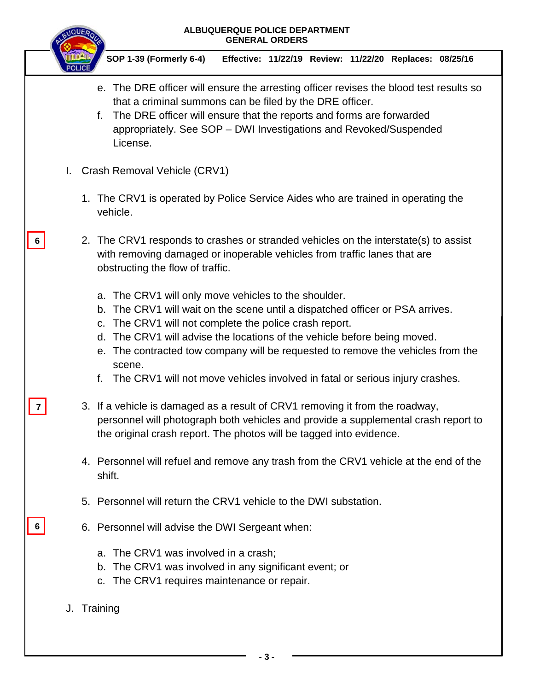|   | ALBUQUERQUE POLICE DEPARTMENT<br><b>GENERAL ORDERS</b> |  |                                                                                                                                                                                                                                                                                                                                                                                                                                                                                 |  |  |  |
|---|--------------------------------------------------------|--|---------------------------------------------------------------------------------------------------------------------------------------------------------------------------------------------------------------------------------------------------------------------------------------------------------------------------------------------------------------------------------------------------------------------------------------------------------------------------------|--|--|--|
|   |                                                        |  | SOP 1-39 (Formerly 6-4)<br>Effective: 11/22/19 Review: 11/22/20 Replaces: 08/25/16                                                                                                                                                                                                                                                                                                                                                                                              |  |  |  |
|   |                                                        |  | e. The DRE officer will ensure the arresting officer revises the blood test results so<br>that a criminal summons can be filed by the DRE officer.<br>The DRE officer will ensure that the reports and forms are forwarded<br>f.<br>appropriately. See SOP - DWI Investigations and Revoked/Suspended<br>License.                                                                                                                                                               |  |  |  |
|   | L.                                                     |  | Crash Removal Vehicle (CRV1)                                                                                                                                                                                                                                                                                                                                                                                                                                                    |  |  |  |
|   |                                                        |  | 1. The CRV1 is operated by Police Service Aides who are trained in operating the<br>vehicle.                                                                                                                                                                                                                                                                                                                                                                                    |  |  |  |
| 6 |                                                        |  | 2. The CRV1 responds to crashes or stranded vehicles on the interstate(s) to assist<br>with removing damaged or inoperable vehicles from traffic lanes that are<br>obstructing the flow of traffic.                                                                                                                                                                                                                                                                             |  |  |  |
|   |                                                        |  | The CRV1 will only move vehicles to the shoulder.<br>a.<br>The CRV1 will wait on the scene until a dispatched officer or PSA arrives.<br>b.<br>The CRV1 will not complete the police crash report.<br>$C_{1}$<br>The CRV1 will advise the locations of the vehicle before being moved.<br>d.<br>e. The contracted tow company will be requested to remove the vehicles from the<br>scene.<br>The CRV1 will not move vehicles involved in fatal or serious injury crashes.<br>f. |  |  |  |
|   |                                                        |  | 3. If a vehicle is damaged as a result of CRV1 removing it from the roadway,<br>personnel will photograph both vehicles and provide a supplemental crash report to<br>the original crash report. The photos will be tagged into evidence.                                                                                                                                                                                                                                       |  |  |  |
|   |                                                        |  | 4. Personnel will refuel and remove any trash from the CRV1 vehicle at the end of the<br>shift.                                                                                                                                                                                                                                                                                                                                                                                 |  |  |  |
|   |                                                        |  | 5. Personnel will return the CRV1 vehicle to the DWI substation.                                                                                                                                                                                                                                                                                                                                                                                                                |  |  |  |
|   |                                                        |  | 6. Personnel will advise the DWI Sergeant when:                                                                                                                                                                                                                                                                                                                                                                                                                                 |  |  |  |
|   |                                                        |  | a. The CRV1 was involved in a crash;<br>b. The CRV1 was involved in any significant event; or<br>The CRV1 requires maintenance or repair.<br>$C_{1}$                                                                                                                                                                                                                                                                                                                            |  |  |  |
|   |                                                        |  | J. Training                                                                                                                                                                                                                                                                                                                                                                                                                                                                     |  |  |  |

I